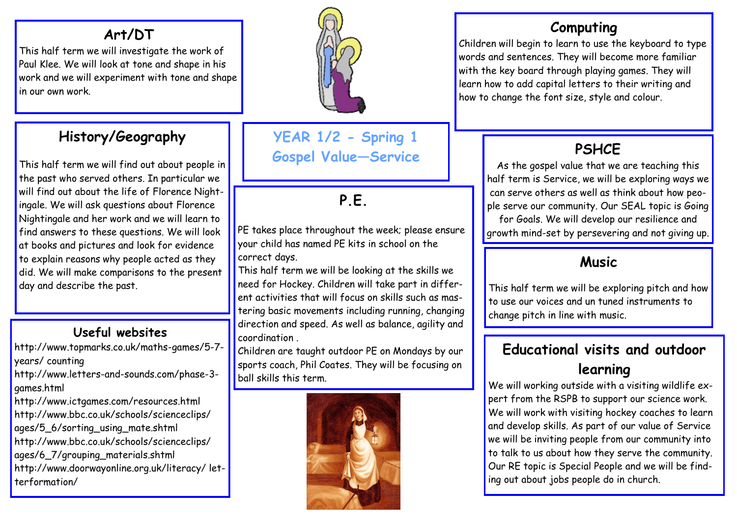## **Art/DT**

This half term we will investigate the work of Paul Klee. We will look at tone and shape in his work and we will experiment with tone and shape in our own work.

## **History/Geography**

This half term we will find out about people in the past who served others. In particular we will find out about the life of Florence Nightingale. We will ask questions about Florence Nightingale and her work and we will learn to find answers to these questions. We will look at books and pictures and look for evidence to explain reasons why people acted as they did. We will make comparisons to the present day and describe the past.

### **Useful websites**

http://www.topmarks.co.uk/maths-games/5-7 years/ counting

http://www.letters-and-sounds.com/phase-3 games.html

http://www.ictgames.com/resources.html http://www.bbc.co.uk/schools/scienceclips/ ages/5\_6/sorting\_using\_mate.shtml http://www.bbc.co.uk/schools/scienceclips/ ages/6\_7/grouping\_materials.shtml http://www.doorwayonline.org.uk/literacy/ letterformation/



**YEAR 1/2 - Spring 1 Gospel Value—Service** 

# **P.E.**

PE takes place throughout the week; please ensure your child has named PE kits in school on the correct days.

This half term we will be looking at the skills we need for Hockey. Children will take part in different activities that will focus on skills such as mastering basic movements including running, changing direction and speed. As well as balance, agility and coordination .

Children are taught outdoor PE on Mondays by our sports coach, Phil Coates. They will be focusing on ball skills this term.



### **Computing**

Children will begin to learn to use the keyboard to type words and sentences. They will become more familiar with the key board through playing games. They will learn how to add capital letters to their writing and how to change the font size, style and colour.

# **PSHCE**

As the gospel value that we are teaching this half term is Service, we will be exploring ways we can serve others as well as think about how people serve our community. Our SEAL topic is Going for Goals. We will develop our resilience and growth mind-set by persevering and not giving up.

### **Music**

This half term we will be exploring pitch and how to use our voices and un tuned instruments to change pitch in line with music.

## **Educational visits and outdoor learning**

We will working outside with a visiting wildlife expert from the RSPB to support our science work. We will work with visiting hockey coaches to learn and develop skills. As part of our value of Service we will be inviting people from our community into to talk to us about how they serve the community. Our RE topic is Special People and we will be finding out about jobs people do in church.